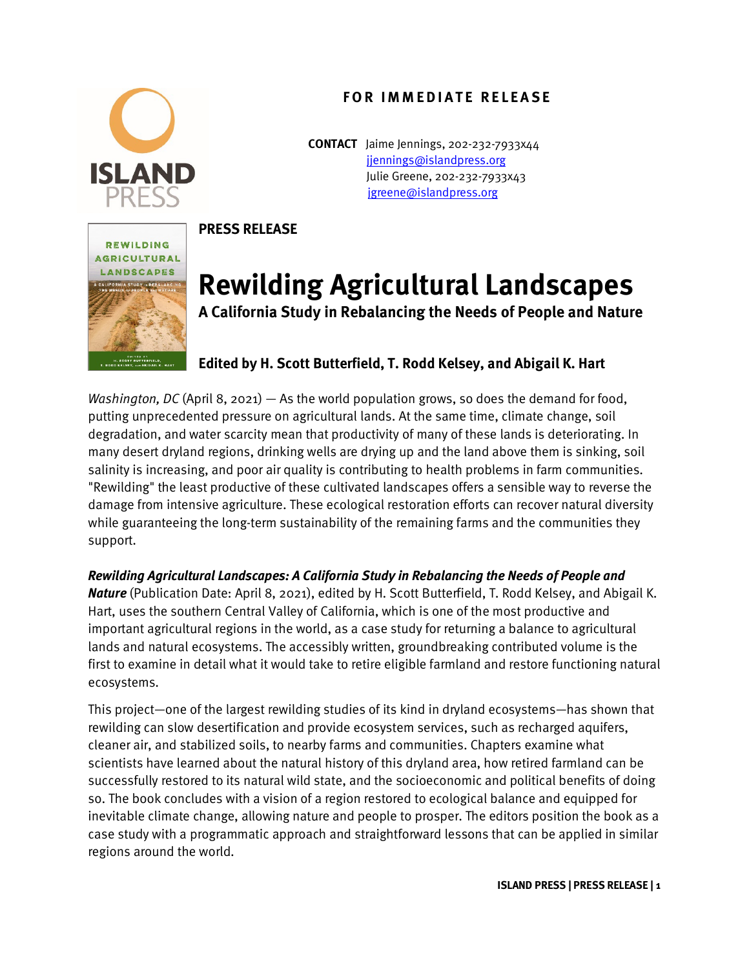### **FOR IMMEDIATE RELEASE**



**CONTACT** Jaime Jennings, 202-232-7933x44 [jjennings@islandpress.org](mailto:jjennings@islandpress.org) Julie Greene, 202-232-7933x43 [jgreene@islandpress.org](mailto:jgreene@islandpress.org)

# REWILDING **AGRICULTURAL** LANDSCAPES

#### **PRESS RELEASE**

## **Rewilding Agricultural Landscapes**

**A California Study in Rebalancing the Needs of People and Nature** 

### **Edited by H. Scott Butterfield, T. Rodd Kelsey, and Abigail K. Hart**

*Washington, DC* (April 8, 2021) — As the world population grows, so does the demand for food, putting unprecedented pressure on agricultural lands. At the same time, climate change, soil degradation, and water scarcity mean that productivity of many of these lands is deteriorating. In many desert dryland regions, drinking wells are drying up and the land above them is sinking, soil salinity is increasing, and poor air quality is contributing to health problems in farm communities. "Rewilding" the least productive of these cultivated landscapes offers a sensible way to reverse the damage from intensive agriculture. These ecological restoration efforts can recover natural diversity while guaranteeing the long-term sustainability of the remaining farms and the communities they support.

### *Rewilding Agricultural Landscapes: A California Study in Rebalancing the Needs of People and*

*Nature* (Publication Date: April 8, 2021), edited by H. Scott Butterfield, T. Rodd Kelsey, and Abigail K. Hart, uses the southern Central Valley of California, which is one of the most productive and important agricultural regions in the world, as a case study for returning a balance to agricultural lands and natural ecosystems. The accessibly written, groundbreaking contributed volume is the first to examine in detail what it would take to retire eligible farmland and restore functioning natural ecosystems.

This project—one of the largest rewilding studies of its kind in dryland ecosystems—has shown that rewilding can slow desertification and provide ecosystem services, such as recharged aquifers, cleaner air, and stabilized soils, to nearby farms and communities. Chapters examine what scientists have learned about the natural history of this dryland area, how retired farmland can be successfully restored to its natural wild state, and the socioeconomic and political benefits of doing so. The book concludes with a vision of a region restored to ecological balance and equipped for inevitable climate change, allowing nature and people to prosper. The editors position the book as a case study with a programmatic approach and straightforward lessons that can be applied in similar regions around the world.